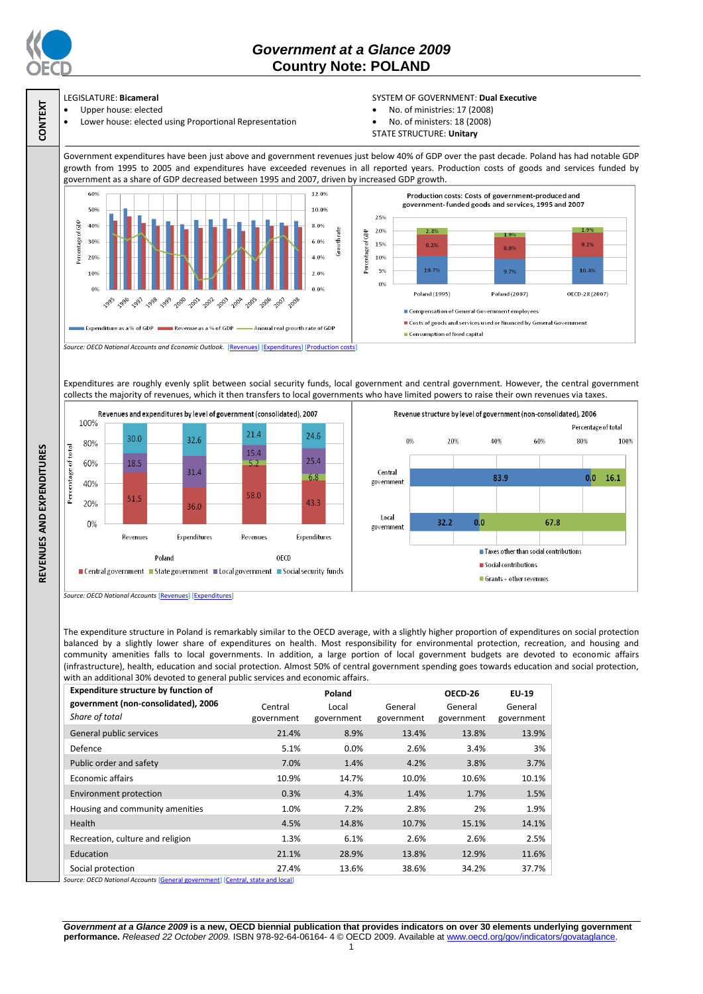

**CONTEXT**

**REVENUES AND EXPENDITURES**

REVENUES AND EXPENDITURES

## *Government at a Glance 2009*  **Country Note: POLAND**

# LEGISLATURE: **Bicameral**

 Upper house: elected Lower house: elected using Proportional Representation

### SYSTEM OF GOVERNMENT: **Dual Executive**

- No. of ministries: 17 (2008)
- No. of ministers: 18 (2008)
- STATE STRUCTURE: **Unitary**

Government expenditures have been just above and government revenues just below 40% of GDP over the past decade. Poland has had notable GDP growth from 1995 to 2005 and expenditures have exceeded revenues in all reported years. Production costs of goods and services funded by government as a share of GDP decreased between 1995 and 2007, driven by increased GDP growth.



Expenditures are roughly evenly split between social security funds, local government and central government. However, the central government collects the majority of revenues, which it then transfers to local governments who have limited powers to raise their own revenues via taxes.



*Source: OECD National Accounts* [\[Revenues\]](http://dx.doi.org/10.1787/723418413857) [\[Expenditures\]](http://dx.doi.org/10.1787/723508524025)

The expenditure structure in Poland is remarkably similar to the OECD average, with a slightly higher proportion of expenditures on social protection balanced by a slightly lower share of expenditures on health. Most responsibility for environmental protection, recreation, and housing and community amenities falls to local governments. In addition, a large portion of local government budgets are devoted to economic affairs (infrastructure), health, education and social protection. Almost 50% of central government spending goes towards education and social protection, with an additional 30% devoted to general public services and economic affairs

| <b>Expenditure structure by function of</b>           |                       | Poland              |                       | OECD-26               | EU-19                 |
|-------------------------------------------------------|-----------------------|---------------------|-----------------------|-----------------------|-----------------------|
| government (non-consolidated), 2006<br>Share of total | Central<br>government | Local<br>government | General<br>government | General<br>government | General<br>government |
| General public services                               | 21.4%                 | 8.9%                | 13.4%                 | 13.8%                 | 13.9%                 |
| Defence                                               | 5.1%                  | $0.0\%$             | 2.6%                  | 3.4%                  | 3%                    |
| Public order and safety                               | 7.0%                  | 1.4%                | 4.2%                  | 3.8%                  | 3.7%                  |
| <b>Economic affairs</b>                               | 10.9%                 | 14.7%               | 10.0%                 | 10.6%                 | 10.1%                 |
| Environment protection                                | 0.3%                  | 4.3%                | 1.4%                  | 1.7%                  | 1.5%                  |
| Housing and community amenities                       | 1.0%                  | 7.2%                | 2.8%                  | 2%                    | 1.9%                  |
| Health                                                | 4.5%                  | 14.8%               | 10.7%                 | 15.1%                 | 14.1%                 |
| Recreation, culture and religion                      | 1.3%                  | 6.1%                | 2.6%                  | 2.6%                  | 2.5%                  |
| Education                                             | 21.1%                 | 28.9%               | 13.8%                 | 12.9%                 | 11.6%                 |
| Social protection                                     | 27.4%                 | 13.6%               | 38.6%                 | 34.2%                 | 37.7%                 |

**Source: OECD National Accounts**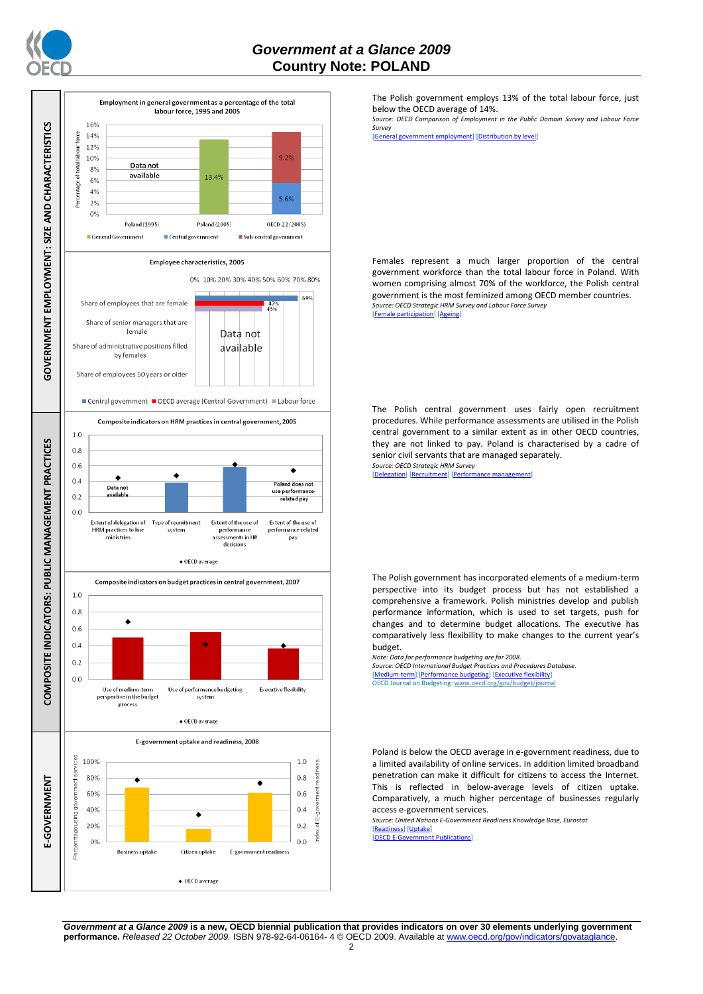



The Polish government employs 13% of the total labour force, just below the OECD average of 14%.

*Source: OECD Comparison of Employment in the Public Domain Survey and Labour Force Survey*

[\[General government employment\]](http://dx.doi.org/10.1787/723622503117) [\[Distribution by level\]](http://dx.doi.org/10.1787/723627140760)

Females represent a much larger proportion of the central government workforce than the total labour force in Poland. With women comprising almost 70% of the workforce, the Polish central government is the most feminized among OECD member countries. *Source: OECD Strategic HRM Survey and Labour Force Survey* [\[Female participation\]](http://dx.doi.org/10.1787/723642841533) [\[Ageing\]](http://dx.doi.org/10.1787/723656070327)

The Polish central government uses fairly open recruitment procedures. While performance assessments are utilised in the Polish central government to a similar extent as in other OECD countries, they are not linked to pay. Poland is characterised by a cadre of senior civil servants that are managed separately. *Source: OECD Strategic HRM Survey* 

[\[Delegation\]](http://dx.doi.org/10.1787/723663744332) [\[Recruitment\]](http://dx.doi.org/10.1787/723668744361) [Perform

The Polish government has incorporated elements of a medium-term perspective into its budget process but has not established a comprehensive a framework. Polish ministries develop and publish performance information, which is used to set targets, push for changes and to determine budget allocations. The executive has comparatively less flexibility to make changes to the current year's budget.

*Note: Data for performance budgeting are for 2008. Source: OECD International Budget Practices and Procedures Database.*

[\[Medium-term\]](http://dx.doi.org/10.1787/723856770865) [\[Performance budgeting\]](http://dx.doi.org/10.1787/723863437686) [\[Executive flexibility\]](http://dx.doi.org/10.1787/723876713213) OECD Journal on Budgeting[: www.oecd.org/gov/budget/journal](http://www.oecd.org/gov/budget/journal)

Poland is below the OECD average in e-government readiness, due to a limited availability of online services. In addition limited broadband penetration can make it difficult for citizens to access the Internet. This is reflected in below-average levels of citizen uptake. Comparatively, a much higher percentage of businesses regularly access e-government services.

*Source: United Nations E-Government Readiness Knowledge Base, Eurostat.*

[\[Readiness\]](http://dx.doi.org/10.1787/724248078408) [\[Uptake\]](http://dx.doi.org/10.1787/724264662272)<br>[OECD E-Governmen] **t** Publications]

*Government at a Glance 2009* **is a new, OECD biennial publication that provides indicators on over 30 elements underlying government performance.** *Released 22 October 2009.* ISBN 978-92-64-06164- 4 © OECD 2009. Available at www.oecd.org/gov/indicators/govataglance.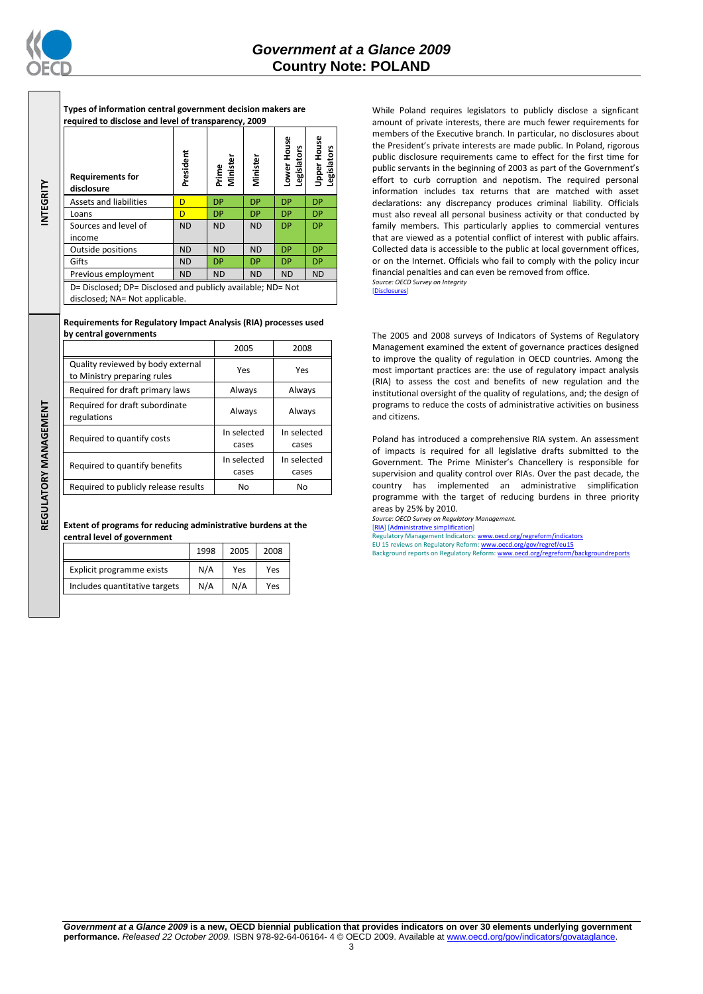

**INTEGRITY**

REGULATORY MANAGEMENT **REGULATORY MANAGEMENT**

**Types of information central government decision makers are required to disclose and level of transparency, 2009**

| <b>Requirements for</b><br>disclosure                                                         | President | Prime<br>Minister | Minister  | Lower House<br>Legislators | Upper House<br>egislators |
|-----------------------------------------------------------------------------------------------|-----------|-------------------|-----------|----------------------------|---------------------------|
| Assets and liabilities                                                                        | D         | <b>DP</b>         | <b>DP</b> | <b>DP</b>                  | <b>DP</b>                 |
| Loans                                                                                         | D         | <b>DP</b>         | <b>DP</b> | <b>DP</b>                  | <b>DP</b>                 |
| Sources and level of                                                                          | <b>ND</b> | <b>ND</b>         | <b>ND</b> | <b>DP</b>                  | <b>DP</b>                 |
| income                                                                                        |           |                   |           |                            |                           |
| Outside positions                                                                             | <b>ND</b> | <b>ND</b>         | <b>ND</b> | <b>DP</b>                  | <b>DP</b>                 |
| Gifts                                                                                         | <b>ND</b> | <b>DP</b>         | <b>DP</b> | <b>DP</b>                  | <b>DP</b>                 |
| Previous employment                                                                           | <b>ND</b> | <b>ND</b>         | <b>ND</b> | <b>ND</b>                  | <b>ND</b>                 |
| D= Disclosed; DP= Disclosed and publicly available; ND= Not<br>disclosed; NA= Not applicable. |           |                   |           |                            |                           |

### **Requirements for Regulatory Impact Analysis (RIA) processes used by central governments**

|                                                                  | 2005                                         | 2008                 |  |
|------------------------------------------------------------------|----------------------------------------------|----------------------|--|
| Quality reviewed by body external<br>to Ministry preparing rules | Yes                                          | Yes                  |  |
| Required for draft primary laws                                  | Always                                       | Always               |  |
| Required for draft subordinate<br>regulations                    | Always                                       | Always               |  |
| Required to quantify costs                                       | In selected<br>cases                         | In selected<br>cases |  |
| Required to quantify benefits                                    | In selected<br>In selected<br>cases<br>cases |                      |  |
| Required to publicly release results                             | No                                           | No                   |  |

**Extent of programs for reducing administrative burdens at the central level of government**

|                               | 1998 | 2005 | 2008 |
|-------------------------------|------|------|------|
| Explicit programme exists     | N/A  | Yes  | Yes  |
| Includes quantitative targets | N/A  | N/A  | Yes  |

While Poland requires legislators to publicly disclose a signficant amount of private interests, there are much fewer requirements for members of the Executive branch. In particular, no disclosures about the President's private interests are made public. In Poland, rigorous public disclosure requirements came to effect for the first time for public servants in the beginning of 2003 as part of the Government's effort to curb corruption and nepotism. The required personal information includes tax returns that are matched with asset declarations: any discrepancy produces criminal liability. Officials must also reveal all personal business activity or that conducted by family members. This particularly applies to commercial ventures that are viewed as a potential conflict of interest with public affairs. Collected data is accessible to the public at local government offices, or on the Internet. Officials who fail to comply with the policy incur financial penalties and can even be removed from office. *Source: OECD Survey on Integrity*

[\[Disclosures\]](http://dx.doi.org/10.1787/724123642681)

The 2005 and 2008 surveys of Indicators of Systems of Regulatory Management examined the extent of governance practices designed to improve the quality of regulation in OECD countries. Among the most important practices are: the use of regulatory impact analysis (RIA) to assess the cost and benefits of new regulation and the institutional oversight of the quality of regulations, and; the design of programs to reduce the costs of administrative activities on business and citizens.

Poland has introduced a comprehensive RIA system. An assessment of impacts is required for all legislative drafts submitted to the Government. The Prime Minister's Chancellery is responsible for supervision and quality control over RIAs. Over the past decade, the country has implemented an administrative simplification programme with the target of reducing burdens in three priority areas by 25% by 2010.

*Source: OECD Survey on Regulatory Management.* [\[RIA\]](http://dx.doi.org/10.1787/724045144354) [\[Administrative simplification\]](http://dx.doi.org/10.1787/724058851054)

Regulatory Management Indicators[: www.oecd.org/regreform/indicators](http://www.oecd.org/regreform/indicators) EU 15 reviews on Regulatory Reform[: www.oecd.org/gov/regref/eu15](http://www.oecd.org/gov/regref/eu15)<br>Background reports on Regulatory Reform[: www.oecd.org/regreform/backgroundreports](http://www.oecd.org/regreform/backgroundreports)